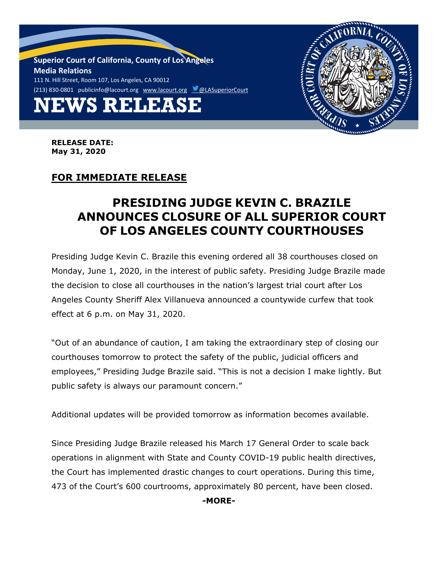**NEWS RELEASE Superior Court of California, County of Los Angeles Media Relations** 111 N. Hill Street, Room 107, Los Angeles, CA 90012 (213) 830-0801 [publicinfo@lacourt.org](mailto:publicinfo@lacourt.org) [www.lacourt.org](http://www.lacourt.org/) CLASuperiorCourt



**RELEASE DATE: May 31, 2020**

## **FOR IMMEDIATE RELEASE**

## **PRESIDING JUDGE KEVIN C. BRAZILE ANNOUNCES CLOSURE OF ALL SUPERIOR COURT OF LOS ANGELES COUNTY COURTHOUSES**

Presiding Judge Kevin C. Brazile this evening ordered all 38 courthouses closed on Monday, June 1, 2020, in the interest of public safety. Presiding Judge Brazile made the decision to close all courthouses in the nation's largest trial court after Los Angeles County Sheriff Alex Villanueva announced a countywide curfew that took effect at 6 p.m. on May 31, 2020.

"Out of an abundance of caution, I am taking the extraordinary step of closing our courthouses tomorrow to protect the safety of the public, judicial officers and employees," Presiding Judge Brazile said. "This is not a decision I make lightly. But public safety is always our paramount concern."

Additional updates will be provided tomorrow as information becomes available.

Since Presiding Judge Brazile released his March 17 General Order to scale back operations in alignment with State and County COVID-19 public health directives, the Court has implemented drastic changes to court operations. During this time, 473 of the Court's 600 courtrooms, approximately 80 percent, have been closed.

**-MORE-**